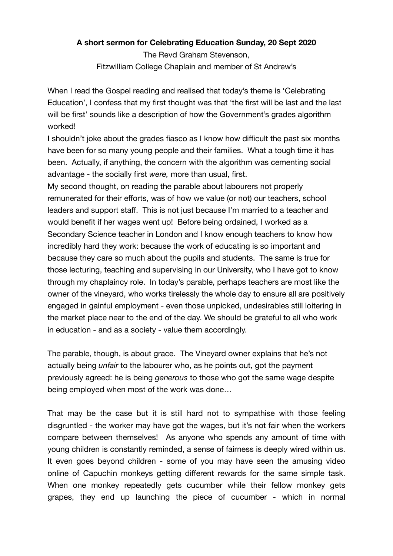## **A short sermon for Celebrating Education Sunday, 20 Sept 2020**

The Revd Graham Stevenson, Fitzwilliam College Chaplain and member of St Andrew's

When I read the Gospel reading and realised that today's theme is 'Celebrating Education', I confess that my first thought was that 'the first will be last and the last will be first' sounds like a description of how the Government's grades algorithm worked!

I shouldn't joke about the grades fiasco as I know how difficult the past six months have been for so many young people and their families. What a tough time it has been. Actually, if anything, the concern with the algorithm was cementing social advantage - the socially first *were,* more than usual, first.

My second thought, on reading the parable about labourers not properly remunerated for their efforts, was of how we value (or not) our teachers, school leaders and support staff. This is not just because I'm married to a teacher and would benefit if her wages went up! Before being ordained, I worked as a Secondary Science teacher in London and I know enough teachers to know how incredibly hard they work: because the work of educating is so important and because they care so much about the pupils and students. The same is true for those lecturing, teaching and supervising in our University, who I have got to know through my chaplaincy role. In today's parable, perhaps teachers are most like the owner of the vineyard, who works tirelessly the whole day to ensure all are positively engaged in gainful employment - even those unpicked, undesirables still loitering in the market place near to the end of the day. We should be grateful to all who work in education - and as a society - value them accordingly.

The parable, though, is about grace. The Vineyard owner explains that he's not actually being *unfair* to the labourer who, as he points out, got the payment previously agreed: he is being *generous* to those who got the same wage despite being employed when most of the work was done…

That may be the case but it is still hard not to sympathise with those feeling disgruntled - the worker may have got the wages, but it's not fair when the workers compare between themselves! As anyone who spends any amount of time with young children is constantly reminded, a sense of fairness is deeply wired within us. It even goes beyond children - some of you may have seen the amusing video online of Capuchin monkeys getting different rewards for the same simple task. When one monkey repeatedly gets cucumber while their fellow monkey gets grapes, they end up launching the piece of cucumber - which in normal